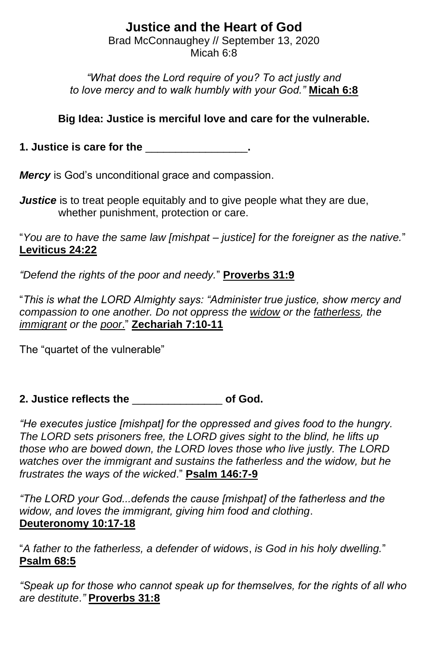# **Justice and the Heart of God**

Brad McConnaughey // September 13, 2020 Micah 6:8

*"What does the Lord require of you? To act justly and to love mercy and to walk humbly with your God."* **Micah 6:8**

### **Big Idea: Justice is merciful love and care for the vulnerable.**

**1. Justice is care for the** \_\_\_\_\_\_\_\_\_\_\_\_\_\_\_\_\_**.**

*Mercy* is God's unconditional grace and compassion.

*Justice* is to treat people equitably and to give people what they are due, whether punishment, protection or care.

"*You are to have the same law [mishpat – justice] for the foreigner as the native.*" **Leviticus 24:22**

*"Defend the rights of the poor and needy.*" **Proverbs 31:9**

"*This is what the LORD Almighty says: "Administer true justice, show mercy and compassion to one another. Do not oppress the widow or the fatherless, the immigrant or the poor*." **Zechariah 7:10-11**

The "quartet of the vulnerable"

**2. Justice reflects the** \_\_\_\_\_\_\_\_\_\_\_\_\_\_\_ **of God.**

*"He executes justice [mishpat] for the oppressed and gives food to the hungry. The LORD sets prisoners free, the LORD gives sight to the blind, he lifts up those who are bowed down, the LORD loves those who live justly. The LORD watches over the immigrant and sustains the fatherless and the widow, but he frustrates the ways of the wicked*." **Psalm 146:7-9**

*"The LORD your God...defends the cause [mishpat] of the fatherless and the widow, and loves the immigrant, giving him food and clothing*. **Deuteronomy 10:17-18**

"*A father to the fatherless, a defender of widows*, *is God in his holy dwelling.*" **Psalm 68:5**

*"Speak up for those who cannot speak up for themselves, for the rights of all who are destitute*.*"* **Proverbs 31:8**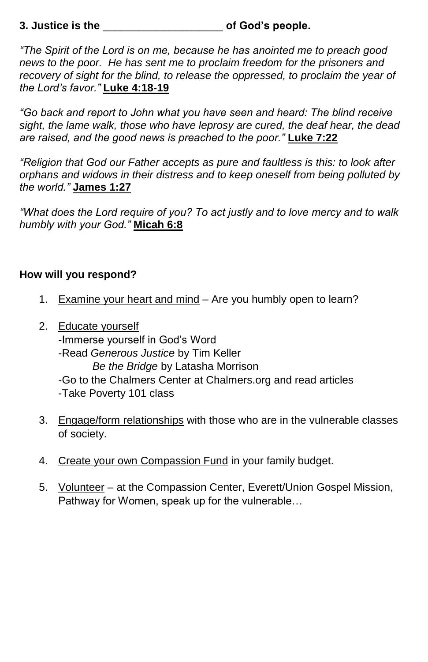### **3. Justice is the** \_\_\_\_\_\_\_\_\_\_\_\_\_\_\_\_\_\_\_\_ **of God's people.**

*"The Spirit of the Lord is on me, because he has anointed me to preach good news to the poor. He has sent me to proclaim freedom for the prisoners and recovery of sight for the blind, to release the oppressed, to proclaim the year of the Lord's favor."* **Luke 4:18-19**

*"Go back and report to John what you have seen and heard: The blind receive sight, the lame walk, those who have leprosy are cured, the deaf hear, the dead are raised, and the good news is preached to the poor."* **Luke 7:22**

*"Religion that God our Father accepts as pure and faultless is this: to look after orphans and widows in their distress and to keep oneself from being polluted by the world."* **James 1:27**

*"What does the Lord require of you? To act justly and to love mercy and to walk humbly with your God."* **Micah 6:8**

#### **How will you respond?**

- 1. Examine your heart and mind Are you humbly open to learn?
- 2. Educate yourself -Immerse yourself in God's Word -Read *Generous Justice* by Tim Keller *Be the Bridge* by Latasha Morrison -Go to the Chalmers Center at Chalmers.org and read articles -Take Poverty 101 class
- 3. Engage/form relationships with those who are in the vulnerable classes of society.
- 4. Create your own Compassion Fund in your family budget.
- 5. Volunteer at the Compassion Center, Everett/Union Gospel Mission, Pathway for Women, speak up for the vulnerable…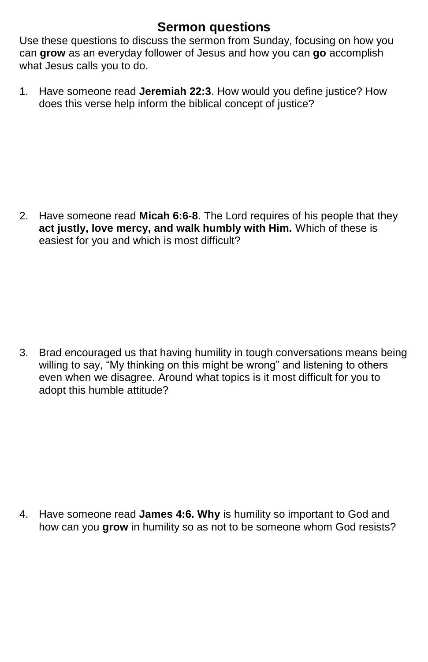# **Sermon questions**

Use these questions to discuss the sermon from Sunday, focusing on how you can **grow** as an everyday follower of Jesus and how you can **go** accomplish what Jesus calls you to do.

1. Have someone read **Jeremiah 22:3**. How would you define justice? How does this verse help inform the biblical concept of justice?

2. Have someone read **Micah 6:6-8**. The Lord requires of his people that they **act justly, love mercy, and walk humbly with Him.** Which of these is easiest for you and which is most difficult?

3. Brad encouraged us that having humility in tough conversations means being willing to say, "My thinking on this might be wrong" and listening to others even when we disagree. Around what topics is it most difficult for you to adopt this humble attitude?

4. Have someone read **James 4:6. Why** is humility so important to God and how can you grow in humility so as not to be someone whom God resists?